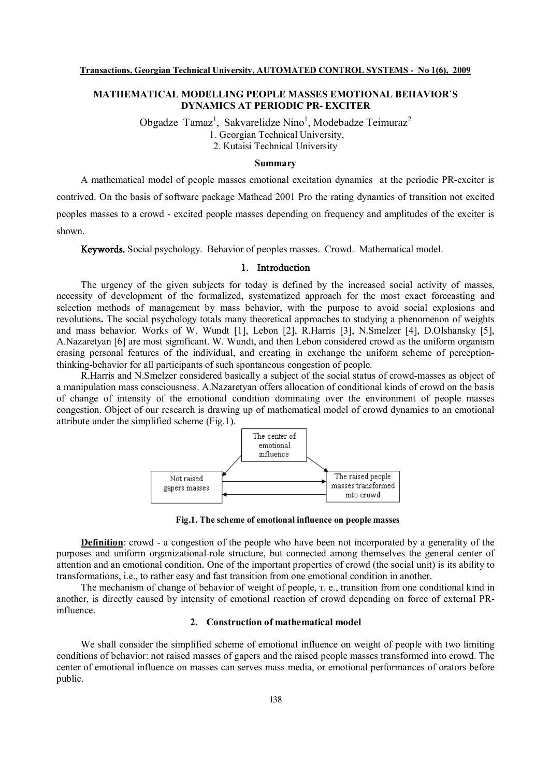# **MATHEMATICAL MODELLING PEOPLE MASSES EMOTIONAL BEHAVIOR`S DYNAMICS AT PERIODIC PR- EXCITER**

Obgadze Tamaz<sup>1</sup>, Sakvarelidze Nino<sup>1</sup>, Modebadze Teimuraz<sup>2</sup>

1. Georgian Technical University,

2. Kutaisi Technical University

### **Summary**

A mathematical model of people masses emotional excitation dynamics at the periodic PR-exciter is contrived. On the basis of software package Mathcad 2001 Pro the rating dynamics of transition not excited peoples masses to a crowd - excited people masses depending on frequency and amplitudes of the exciter is shown.

**Keywords.** Social psychology. Behavior of peoples masses. Crowd. Mathematical model.

## **1. Introduction**

The urgency of the given subjects for today is defined by the increased social activity of masses, necessity of development of the formalized, systematized approach for the most exact forecasting and selection methods of management by mass behavior, with the purpose to avoid social explosions and revolutions**.** The social psychology totals many theoretical approaches to studying a phenomenon of weights and mass behavior. Works of W. Wundt [1], Lebon [2], R.Harris [3], N.Smelzer [4], D.Olshansky [5], A.Nazaretyan [6] are most significant. W. Wundt, and then Lebon considered crowd as the uniform organism erasing personal features of the individual, and creating in exchange the uniform scheme of perceptionthinking-behavior for all participants of such spontaneous congestion of people.

R.Harris and N.Smelzer considered basically a subject of the social status of crowd-masses as object of a manipulation mass consciousness. A.Nazaretyan offers allocation of conditional kinds of crowd on the basis of change of intensity of the emotional condition dominating over the environment of people masses congestion. Object of our research is drawing up of mathematical model of crowd dynamics to an emotional attribute under the simplified scheme (Fig.1).



**Fig.1. The scheme of emotional influence on people masses** 

**Definition**: crowd - a congestion of the people who have been not incorporated by a generality of the purposes and uniform organizational-role structure, but connected among themselves the general center of attention and an emotional condition. One of the important properties of crowd (the social unit) is its ability to transformations, i.e., to rather easy and fast transition from one emotional condition in another.

The mechanism of change of behavior of weight of people, т. е., transition from one conditional kind in another, is directly caused by intensity of emotional reaction of crowd depending on force of external PRinfluence.

# **2. Construction of mathematical model**

We shall consider the simplified scheme of emotional influence on weight of people with two limiting conditions of behavior: not raised masses of gapers and the raised people masses transformed into crowd. The center of emotional influence on masses can serves mass media, or emotional performances of orators before public.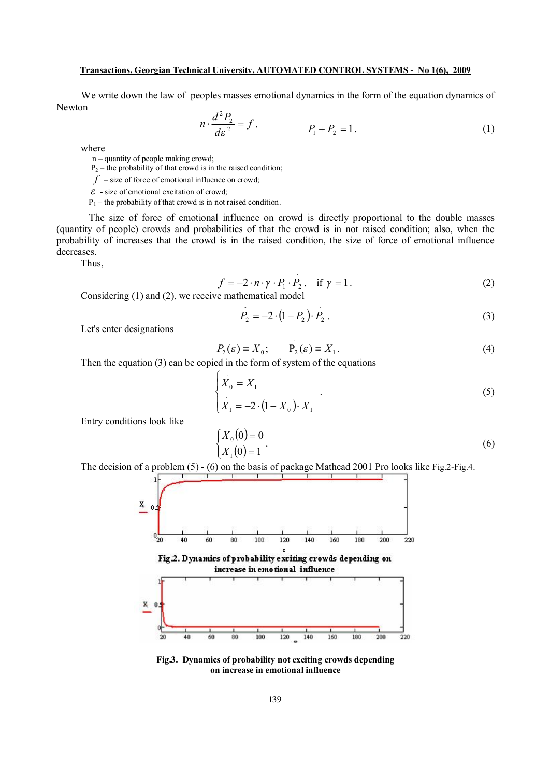#### **Transactions. Georgian Technical University. AUTOMATED CONTROL SYSTEMS - No 1(6), 2009**

We write down the law of peoples masses emotional dynamics in the form of the equation dynamics of Newton

$$
n \cdot \frac{d^2 P_2}{d \varepsilon^2} = f \, , \qquad \qquad P_1 + P_2 = 1 \, , \tag{1}
$$

where

n – quantity of people making crowd;

 $P_2$  – the probability of that crowd is in the raised condition;

 $f$  – size of force of emotional influence on crowd;

 $\epsilon$  - size of emotional excitation of crowd;

 $P_1$  – the probability of that crowd is in not raised condition.

The size of force of emotional influence on crowd is directly proportional to the double masses (quantity of people) crowds and probabilities of that the crowd is in not raised condition; also, when the probability of increases that the crowd is in the raised condition, the size of force of emotional influence decreases.

Thus,

$$
f = -2 \cdot n \cdot \gamma \cdot P_1 \cdot P_2, \quad \text{if } \gamma = 1.
$$
 (2)

Considering (1) and (2), we receive mathematical model

$$
P_2 = -2 \cdot (1 - P_2) \cdot P_2 \tag{3}
$$

Let's enter designations

$$
P_2(\varepsilon) \equiv X_0; \qquad P_2(\varepsilon) \equiv X_1. \tag{4}
$$

Then the equation (3) can be copied in the form of system of the equations

$$
\begin{cases}\nX_0 = X_1 \\
X_1 = -2 \cdot (1 - X_0) \cdot X_1\n\end{cases} (5)
$$

Entry conditions look like

$$
\begin{cases} X_0(0) = 0 \\ X_1(0) = 1 \end{cases} (6)
$$

The decision of a problem (5) - (6) on the basis of package Mathcad 2001 Pro looks like Fig.2-Fig.4.



**Fig.3. Dynamics of probability not exciting crowds depending on increase in emotional influence**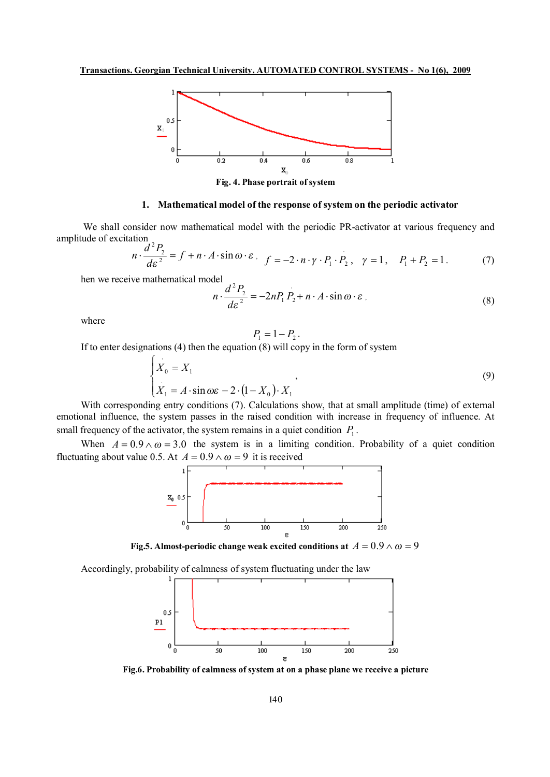

**Fig. 4. Phase portrait of system** 

## **1. Mathematical model of the response of system on the periodic activator**

We shall consider now mathematical model with the periodic PR-activator at various frequency and amplitude of excitation  $d^2P$ 

$$
n \cdot \frac{d^2 P_2}{d \varepsilon^2} = f + n \cdot A \cdot \sin \omega \cdot \varepsilon \,, \quad f = -2 \cdot n \cdot \gamma \cdot P_1 \cdot P_2 \,, \quad \gamma = 1, \quad P_1 + P_2 = 1 \,. \tag{7}
$$

hen we receive mathematical model

$$
n \cdot \frac{d^2 P_2}{d \varepsilon^2} = -2nP_1 P_2 + n \cdot A \cdot \sin \omega \cdot \varepsilon \,,\tag{8}
$$

where

$$
P_1 = 1 - P_2
$$

.

If to enter designations  $(4)$  then the equation  $(8)$  will copy in the form of system

$$
\begin{cases}\n\dot{X}_0 = X_1 \\
\dot{X}_1 = A \cdot \sin \omega \varepsilon - 2 \cdot (1 - X_0) \cdot X_1\n\end{cases}
$$
\n(9)

With corresponding entry conditions (7). Calculations show, that at small amplitude (time) of external emotional influence, the system passes in the raised condition with increase in frequency of influence. At small frequency of the activator, the system remains in a quiet condition  $P_1$ .

When  $A = 0.9 \wedge \omega = 3.0$  the system is in a limiting condition. Probability of a quiet condition fluctuating about value 0.5. At  $A = 0.9 \wedge \omega = 9$  it is received



**Fig.5.** Almost-periodic change weak excited conditions at  $A = 0.9 \wedge \omega = 9$ 

Accordingly, probability of calmness of system fluctuating under the law



**Fig.6. Probability of calmness of system at on a phase plane we receive a picture**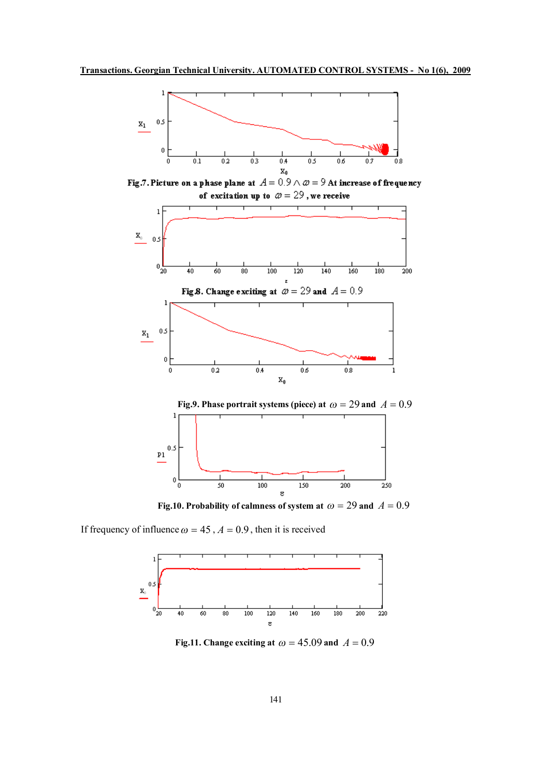

Fig.7. Picture on a phase plane at  $A = 0.9 \wedge \omega = 9$  At increase of frequency of excitation up to  $\omega = 29$ , we receive





 **Fig.10.** Probability of calmness of system at  $\omega = 29$  and  $A = 0.9$ 

If frequency of influence  $\omega = 45$ ,  $A = 0.9$ , then it is received



**Fig.11. Change exciting at**  $\omega = 45.09$  **and**  $A = 0.9$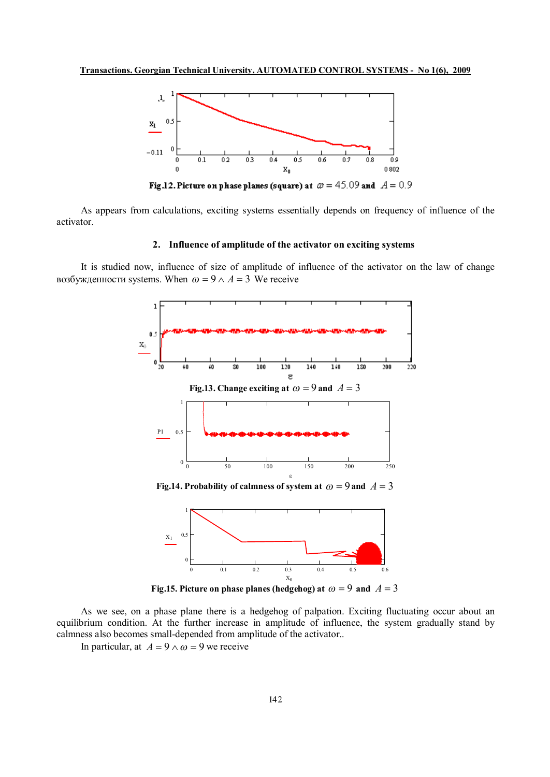

Fig.12. Picture on phase planes (square) at  $\omega = 45.09$  and  $A = 0.9$ 

As appears from calculations, exciting systems essentially depends on frequency of influence of the activator.

# **2. Influence of amplitude of the activator on exciting systems**

It is studied now, influence of size of amplitude of influence of the activator on the law of change возбужденности systems. When  $\omega = 9 \wedge A = 3$  We receive



**Fig.15. Picture** on phase planes (hedgehog) at  $\omega = 9$  and  $A = 3$ 

As we see, on a phase plane there is a hedgehog of palpation. Exciting fluctuating occur about an equilibrium condition. At the further increase in amplitude of influence, the system gradually stand by calmness also becomes small-depended from amplitude of the activator..

In particular, at  $A = 9 \wedge \omega = 9$  we receive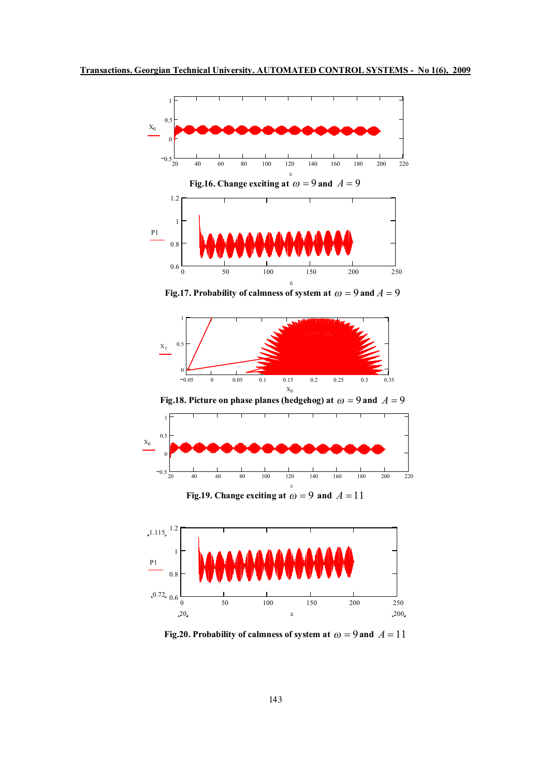

**Fig.17.** Probability of calmness of system at  $\omega = 9$  and  $A = 9$ 



 **Fig.18. Picture on phase planes (hedgehog) at**  $\omega = 9$  **and**  $A = 9$ 



**Fig.19. Change exciting at**  $\omega = 9$  **and**  $A = 11$ 



 **Fig.20.** Probability of calmness of system at  $\omega = 9$  and  $A = 11$